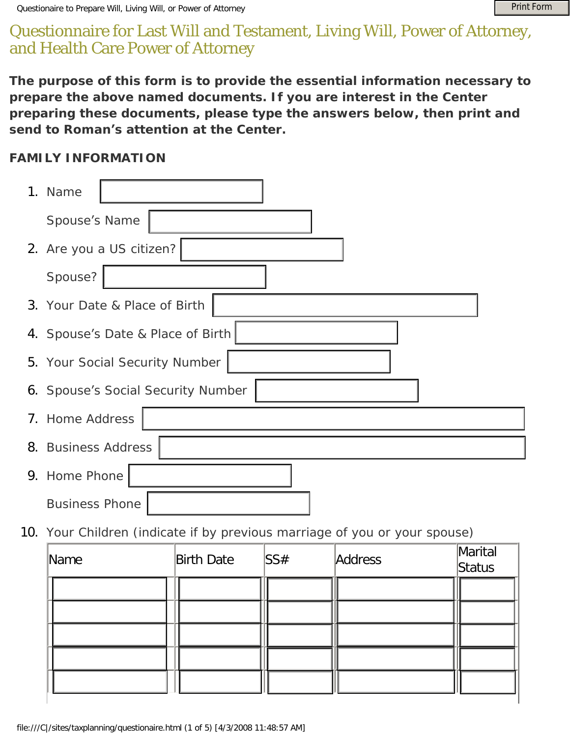## Questionnaire for Last Will and Testament, Living Will, Power of Attorney, and Health Care Power of Attorney

## **FAMILY INFORMATION**

| Questionaire to Prepare Will, Living Will, or Power of Attorney                                                                                                                                                                                                           | <b>Print Form</b> |  |
|---------------------------------------------------------------------------------------------------------------------------------------------------------------------------------------------------------------------------------------------------------------------------|-------------------|--|
| )uestionnaire for Last Will and Testament, Living Will, Power of Attorney,<br>nd Health Care Power of Attorney                                                                                                                                                            |                   |  |
| he purpose of this form is to provide the essential information necessary to<br>repare the above named documents. If you are interest in the Center<br>reparing these documents, please type the answers below, then print and<br>end to Roman's attention at the Center. |                   |  |
| <b>AMILY INFORMATION</b>                                                                                                                                                                                                                                                  |                   |  |
| 1. Name                                                                                                                                                                                                                                                                   |                   |  |
| Spouse's Name                                                                                                                                                                                                                                                             |                   |  |
| 2. Are you a US citizen?                                                                                                                                                                                                                                                  |                   |  |
| Spouse?                                                                                                                                                                                                                                                                   |                   |  |
| 3. Your Date & Place of Birth                                                                                                                                                                                                                                             |                   |  |
| 4. Spouse's Date & Place of Birth                                                                                                                                                                                                                                         |                   |  |
| 5. Your Social Security Number                                                                                                                                                                                                                                            |                   |  |
| 6. Spouse's Social Security Number                                                                                                                                                                                                                                        |                   |  |
| 7. Home Address                                                                                                                                                                                                                                                           |                   |  |
| 8. Business Address                                                                                                                                                                                                                                                       |                   |  |
| 9. Home Phone                                                                                                                                                                                                                                                             |                   |  |
| <b>Business Phone</b>                                                                                                                                                                                                                                                     |                   |  |
| 10. Your Children (indicate if by previous marriage of you or your spouse)                                                                                                                                                                                                |                   |  |
| Marital<br><b>Birth Date</b><br>SS#<br>Address<br>Mame<br>Status                                                                                                                                                                                                          |                   |  |
|                                                                                                                                                                                                                                                                           |                   |  |
|                                                                                                                                                                                                                                                                           |                   |  |
|                                                                                                                                                                                                                                                                           |                   |  |
|                                                                                                                                                                                                                                                                           |                   |  |
|                                                                                                                                                                                                                                                                           |                   |  |
| file:///C /sites/taxplanning/questionaire.html (1 of 5) [4/3/2008 11:48:57 AM]                                                                                                                                                                                            |                   |  |

| Name | <b>Birth Date</b> | SS# | Address | Marital<br>Status |
|------|-------------------|-----|---------|-------------------|
|      |                   |     |         |                   |
|      |                   |     |         |                   |
|      |                   |     |         |                   |
|      |                   |     |         |                   |
|      |                   |     |         |                   |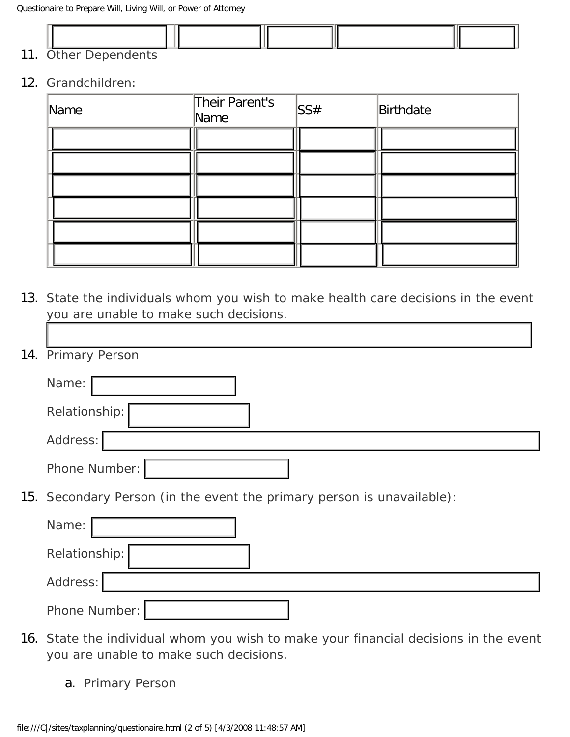

## 12. Grandchildren:

| Name | Their Parent's<br>Name | SS# | Birthdate |
|------|------------------------|-----|-----------|
|      |                        |     |           |
|      |                        |     |           |
|      |                        |     |           |
|      |                        |     |           |
|      |                        |     |           |
|      |                        |     |           |

13. State the individuals whom you wish to make health care decisions in the event you are unable to make such decisions. 1

| 14. Primary Person                                                     |
|------------------------------------------------------------------------|
| Name:                                                                  |
| Relationship:                                                          |
| Address:                                                               |
| Phone Number:                                                          |
| 15. Secondary Person (in the event the primary person is unavailable): |
| Name:                                                                  |
| Relationship:                                                          |
| Address:                                                               |
| Phone Number:                                                          |

- 16. State the individual whom you wish to make your financial decisions in the event you are unable to make such decisions.
	- a. Primary Person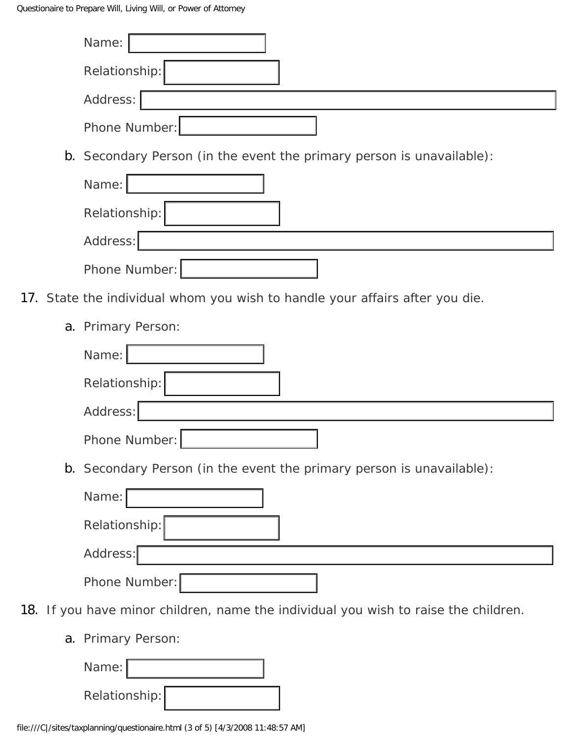| Name:                                                                               |
|-------------------------------------------------------------------------------------|
| Relationship:                                                                       |
| Address:                                                                            |
| Phone Number:                                                                       |
| b. Secondary Person (in the event the primary person is unavailable):               |
| Name:                                                                               |
| Relationship:                                                                       |
| Address:                                                                            |
| Phone Number:                                                                       |
| 17. State the individual whom you wish to handle your affairs after you die.        |
| a. Primary Person:                                                                  |
| Name:                                                                               |
| Relationship:                                                                       |
| Address:                                                                            |
| Phone Number:                                                                       |
| b. Secondary Person (in the event the primary person is unavailable):               |
| Name:                                                                               |
| Relationship:                                                                       |
| Address:                                                                            |
| Phone Number:                                                                       |
| 18. If you have minor children, name the individual you wish to raise the children. |
| a. Primary Person:                                                                  |
| Name:                                                                               |
| Relationship:                                                                       |
| file:///C /sites/taxplanning/questionaire.html (3 of 5) [4/3/2008 11:48:57 AM]      |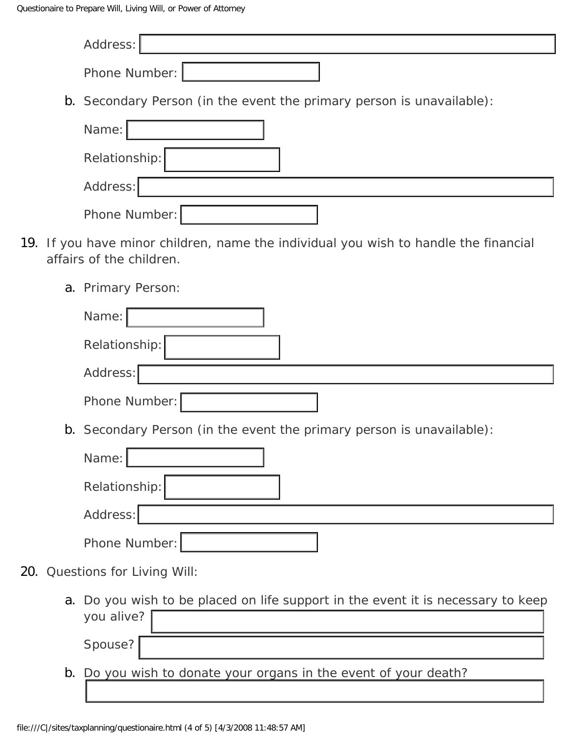|  | Address:                                                                                                         |
|--|------------------------------------------------------------------------------------------------------------------|
|  | Phone Number:                                                                                                    |
|  | b. Secondary Person (in the event the primary person is unavailable):                                            |
|  | Name:                                                                                                            |
|  | Relationship:                                                                                                    |
|  | Address:                                                                                                         |
|  | Phone Number:                                                                                                    |
|  | 19. If you have minor children, name the individual you wish to handle the financial<br>affairs of the children. |
|  | a. Primary Person:                                                                                               |
|  | Name:                                                                                                            |
|  | Relationship:                                                                                                    |
|  | Address:                                                                                                         |
|  | Phone Number:                                                                                                    |
|  | b. Secondary Person (in the event the primary person is unavailable):                                            |
|  | Name:                                                                                                            |
|  | Relationship:                                                                                                    |
|  | Address:                                                                                                         |
|  | Phone Number:                                                                                                    |
|  | 20. Questions for Living Will:                                                                                   |
|  | a. Do you wish to be placed on life support in the event it is necessary to keep<br>you alive?                   |
|  | Spouse?                                                                                                          |
|  | b. Do you wish to donate your organs in the event of your death?                                                 |